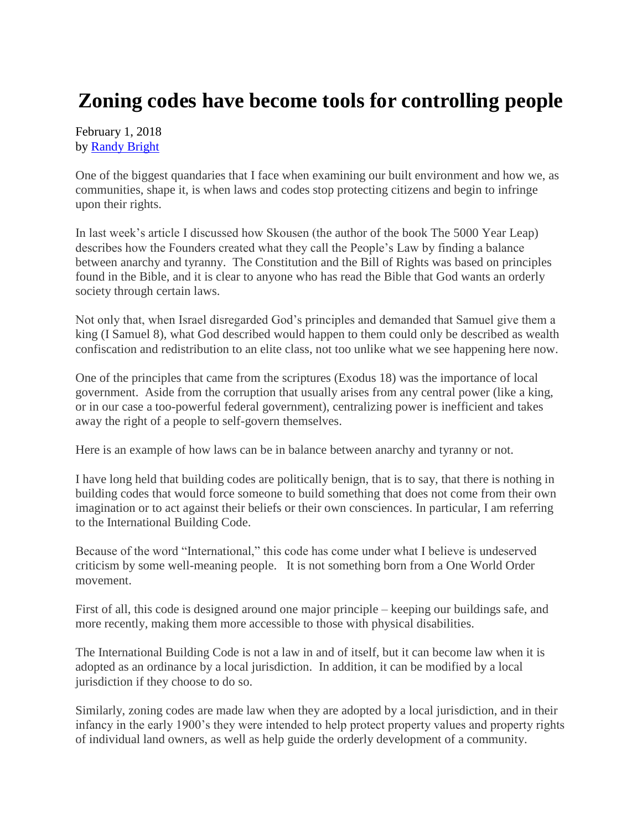## **Zoning codes have become tools for controlling people**

February 1, 2018 by [Randy Bright](http://tulsabeacon.com/writers/randy-bright/)

One of the biggest quandaries that I face when examining our built environment and how we, as communities, shape it, is when laws and codes stop protecting citizens and begin to infringe upon their rights.

In last week's article I discussed how Skousen (the author of the book The 5000 Year Leap) describes how the Founders created what they call the People's Law by finding a balance between anarchy and tyranny. The Constitution and the Bill of Rights was based on principles found in the Bible, and it is clear to anyone who has read the Bible that God wants an orderly society through certain laws.

Not only that, when Israel disregarded God's principles and demanded that Samuel give them a king (I Samuel 8), what God described would happen to them could only be described as wealth confiscation and redistribution to an elite class, not too unlike what we see happening here now.

One of the principles that came from the scriptures (Exodus 18) was the importance of local government. Aside from the corruption that usually arises from any central power (like a king, or in our case a too-powerful federal government), centralizing power is inefficient and takes away the right of a people to self-govern themselves.

Here is an example of how laws can be in balance between anarchy and tyranny or not.

I have long held that building codes are politically benign, that is to say, that there is nothing in building codes that would force someone to build something that does not come from their own imagination or to act against their beliefs or their own consciences. In particular, I am referring to the International Building Code.

Because of the word "International," this code has come under what I believe is undeserved criticism by some well-meaning people. It is not something born from a One World Order movement.

First of all, this code is designed around one major principle – keeping our buildings safe, and more recently, making them more accessible to those with physical disabilities.

The International Building Code is not a law in and of itself, but it can become law when it is adopted as an ordinance by a local jurisdiction. In addition, it can be modified by a local jurisdiction if they choose to do so.

Similarly, zoning codes are made law when they are adopted by a local jurisdiction, and in their infancy in the early 1900's they were intended to help protect property values and property rights of individual land owners, as well as help guide the orderly development of a community.